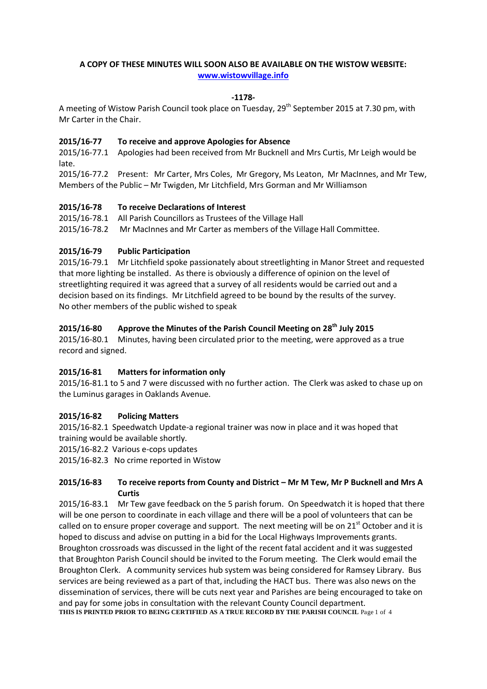# **A COPY OF THESE MINUTES WILL SOON ALSO BE AVAILABLE ON THE WISTOW WEBSITE: [www.wistowvillage.info](http://www.wistowvillage.info/)**

## **-1178-**

A meeting of Wistow Parish Council took place on Tuesday, 29<sup>th</sup> September 2015 at 7.30 pm, with Mr Carter in the Chair.

#### **2015/16-77 To receive and approve Apologies for Absence**

2015/16-77.1 Apologies had been received from Mr Bucknell and Mrs Curtis, Mr Leigh would be late.

2015/16-77.2 Present: Mr Carter, Mrs Coles, Mr Gregory, Ms Leaton, Mr MacInnes, and Mr Tew, Members of the Public – Mr Twigden, Mr Litchfield, Mrs Gorman and Mr Williamson

## **2015/16-78 To receive Declarations of Interest**

2015/16-78.1 All Parish Councillors as Trustees of the Village Hall 2015/16-78.2 Mr MacInnes and Mr Carter as members of the Village Hall Committee.

## **2015/16-79 Public Participation**

2015/16-79.1 Mr Litchfield spoke passionately about streetlighting in Manor Street and requested that more lighting be installed. As there is obviously a difference of opinion on the level of streetlighting required it was agreed that a survey of all residents would be carried out and a decision based on its findings. Mr Litchfield agreed to be bound by the results of the survey. No other members of the public wished to speak

# **2015/16-80 Approve the Minutes of the Parish Council Meeting on 28 th July 2015**

2015/16-80.1 Minutes, having been circulated prior to the meeting, were approved as a true record and signed.

## **2015/16-81 Matters for information only**

2015/16-81.1 to 5 and 7 were discussed with no further action. The Clerk was asked to chase up on the Luminus garages in Oaklands Avenue.

#### **2015/16-82 Policing Matters**

2015/16-82.1 Speedwatch Update-a regional trainer was now in place and it was hoped that training would be available shortly.

2015/16-82.2 Various e-cops updates

2015/16-82.3 No crime reported in Wistow

## **2015/16-83 To receive reports from County and District – Mr M Tew, Mr P Bucknell and Mrs A Curtis**

2015/16-83.1 Mr Tew gave feedback on the 5 parish forum. On Speedwatch it is hoped that there will be one person to coordinate in each village and there will be a pool of volunteers that can be called on to ensure proper coverage and support. The next meeting will be on  $21<sup>st</sup>$  October and it is hoped to discuss and advise on putting in a bid for the Local Highways Improvements grants. Broughton crossroads was discussed in the light of the recent fatal accident and it was suggested that Broughton Parish Council should be invited to the Forum meeting. The Clerk would email the Broughton Clerk. A community services hub system was being considered for Ramsey Library. Bus services are being reviewed as a part of that, including the HACT bus. There was also news on the dissemination of services, there will be cuts next year and Parishes are being encouraged to take on and pay for some jobs in consultation with the relevant County Council department. **THIS IS PRINTED PRIOR TO BEING CERTIFIED AS A TRUE RECORD BY THE PARISH COUNCIL** Page 1 of 4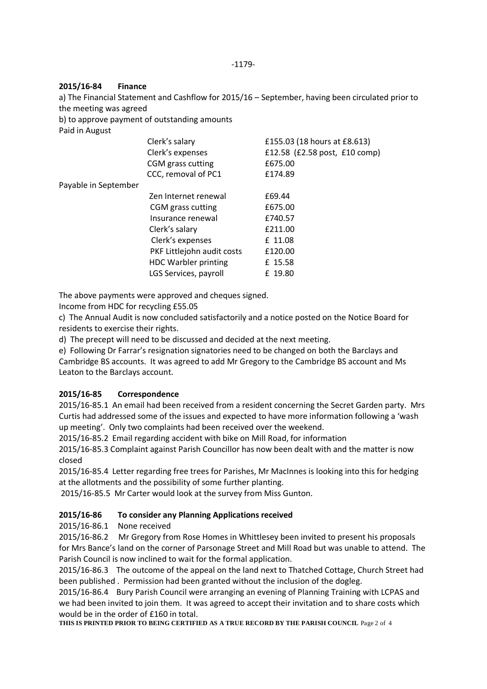## **2015/16-84 Finance**

a) The Financial Statement and Cashflow for 2015/16 – September, having been circulated prior to the meeting was agreed

b) to approve payment of outstanding amounts

Paid in August

|                      | Clerk's salary              | £155.03 (18 hours at £8.613)  |
|----------------------|-----------------------------|-------------------------------|
|                      | Clerk's expenses            | £12.58 (£2.58 post, £10 comp) |
|                      | CGM grass cutting           | £675.00                       |
|                      | CCC, removal of PC1         | £174.89                       |
| Payable in September |                             |                               |
|                      | Zen Internet renewal        | £69.44                        |
|                      | CGM grass cutting           | £675.00                       |
|                      | Insurance renewal           | £740.57                       |
|                      | Clerk's salary              | £211.00                       |
|                      | Clerk's expenses            | £ 11.08                       |
|                      | PKF Littlejohn audit costs  | £120.00                       |
|                      | <b>HDC Warbler printing</b> | £ 15.58                       |
|                      | LGS Services, payroll       | £ 19.80                       |
|                      |                             |                               |

The above payments were approved and cheques signed.

Income from HDC for recycling £55.05

c) The Annual Audit is now concluded satisfactorily and a notice posted on the Notice Board for residents to exercise their rights.

d) The precept will need to be discussed and decided at the next meeting.

e) Following Dr Farrar's resignation signatories need to be changed on both the Barclays and Cambridge BS accounts. It was agreed to add Mr Gregory to the Cambridge BS account and Ms Leaton to the Barclays account.

## **2015/16-85 Correspondence**

2015/16-85.1 An email had been received from a resident concerning the Secret Garden party. Mrs Curtis had addressed some of the issues and expected to have more information following a 'wash up meeting'. Only two complaints had been received over the weekend.

2015/16-85.2 Email regarding accident with bike on Mill Road, for information

2015/16-85.3 Complaint against Parish Councillor has now been dealt with and the matter is now closed

2015/16-85.4 Letter regarding free trees for Parishes, Mr MacInnes is looking into this for hedging at the allotments and the possibility of some further planting.

2015/16-85.5 Mr Carter would look at the survey from Miss Gunton.

## **2015/16-86 To consider any Planning Applications received**

2015/16-86.1 None received

2015/16-86.2 Mr Gregory from Rose Homes in Whittlesey been invited to present his proposals for Mrs Bance's land on the corner of Parsonage Street and Mill Road but was unable to attend. The Parish Council is now inclined to wait for the formal application.

2015/16-86.3 The outcome of the appeal on the land next to Thatched Cottage, Church Street had been published . Permission had been granted without the inclusion of the dogleg.

2015/16-86.4 Bury Parish Council were arranging an evening of Planning Training with LCPAS and we had been invited to join them. It was agreed to accept their invitation and to share costs which would be in the order of £160 in total.

**THIS IS PRINTED PRIOR TO BEING CERTIFIED AS A TRUE RECORD BY THE PARISH COUNCIL** Page 2 of 4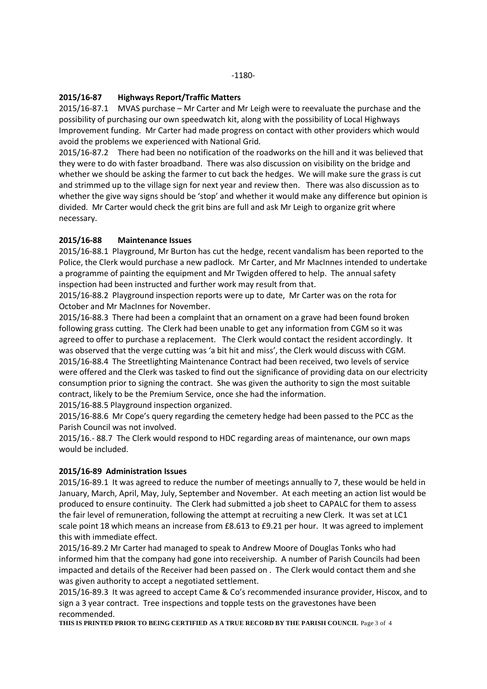## **2015/16-87 Highways Report/Traffic Matters**

2015/16-87.1 MVAS purchase – Mr Carter and Mr Leigh were to reevaluate the purchase and the possibility of purchasing our own speedwatch kit, along with the possibility of Local Highways Improvement funding. Mr Carter had made progress on contact with other providers which would avoid the problems we experienced with National Grid.

2015/16-87.2 There had been no notification of the roadworks on the hill and it was believed that they were to do with faster broadband. There was also discussion on visibility on the bridge and whether we should be asking the farmer to cut back the hedges. We will make sure the grass is cut and strimmed up to the village sign for next year and review then. There was also discussion as to whether the give way signs should be 'stop' and whether it would make any difference but opinion is divided. Mr Carter would check the grit bins are full and ask Mr Leigh to organize grit where necessary.

## **2015/16-88 Maintenance Issues**

2015/16-88.1 Playground, Mr Burton has cut the hedge, recent vandalism has been reported to the Police, the Clerk would purchase a new padlock. Mr Carter, and Mr MacInnes intended to undertake a programme of painting the equipment and Mr Twigden offered to help. The annual safety inspection had been instructed and further work may result from that.

2015/16-88.2 Playground inspection reports were up to date, Mr Carter was on the rota for October and Mr MacInnes for November.

2015/16-88.3 There had been a complaint that an ornament on a grave had been found broken following grass cutting. The Clerk had been unable to get any information from CGM so it was agreed to offer to purchase a replacement. The Clerk would contact the resident accordingly. It was observed that the verge cutting was 'a bit hit and miss', the Clerk would discuss with CGM. 2015/16-88.4 The Streetlighting Maintenance Contract had been received, two levels of service were offered and the Clerk was tasked to find out the significance of providing data on our electricity consumption prior to signing the contract. She was given the authority to sign the most suitable contract, likely to be the Premium Service, once she had the information.

2015/16-88.5 Playground inspection organized.

2015/16-88.6 Mr Cope's query regarding the cemetery hedge had been passed to the PCC as the Parish Council was not involved.

2015/16.- 88.7 The Clerk would respond to HDC regarding areas of maintenance, our own maps would be included.

#### **2015/16-89 Administration Issues**

2015/16-89.1 It was agreed to reduce the number of meetings annually to 7, these would be held in January, March, April, May, July, September and November. At each meeting an action list would be produced to ensure continuity. The Clerk had submitted a job sheet to CAPALC for them to assess the fair level of remuneration, following the attempt at recruiting a new Clerk. It was set at LC1 scale point 18 which means an increase from £8.613 to £9.21 per hour. It was agreed to implement this with immediate effect.

2015/16-89.2 Mr Carter had managed to speak to Andrew Moore of Douglas Tonks who had informed him that the company had gone into receivership. A number of Parish Councils had been impacted and details of the Receiver had been passed on . The Clerk would contact them and she was given authority to accept a negotiated settlement.

2015/16-89.3 It was agreed to accept Came & Co's recommended insurance provider, Hiscox, and to sign a 3 year contract. Tree inspections and topple tests on the gravestones have been recommended.

**THIS IS PRINTED PRIOR TO BEING CERTIFIED AS A TRUE RECORD BY THE PARISH COUNCIL** Page 3 of 4